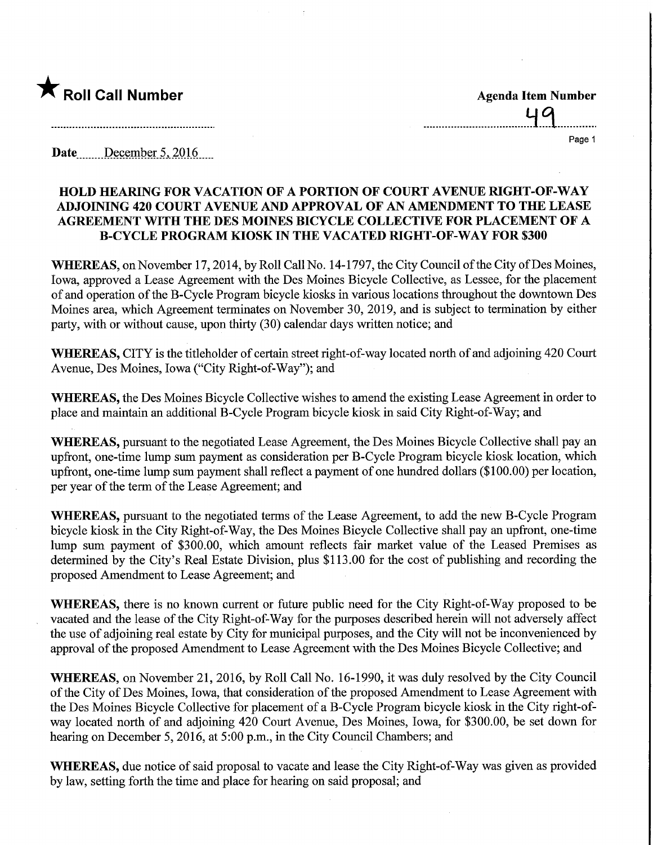

49 Page 1

Date ........December 5, 2016.....

## HOLD HEARING FOR VACATION OF A PORTION OF COURT AVENUE RIGHT-OF-WAY ADJOINING 420 COURT AVENUE AND APPROVAL OF AN AMENDMENT TO THE LEASE AGREEMENT WITH THE DES MOINES BICYCLE COLLECTIVE FOR PLACEMENT OF A B-CYCLE PROGRAM KIOSK IN THE VACATED RIGHT-OF-WAY FOR \$300

WHEREAS, on November 17, 2014, by Roll Call No. 14-1797, the City Council of the City of Des Moines, Iowa, approved a Lease Agreement with the Des Moines Bicycle Collective, as Lessee, for the placement of and operation of the B-Cycle Program bicycle kiosks in various locations throughout the downtown Des Moines area, which Agreement terminates on November 30, 2019, and is subject to termination by either party, with or without cause, upon thirty (30) calendar days written notice; and

WHEREAS, CITY is the titleholder of certain street right-of-way located north of and adjoining 420 Court Avenue, Des Moines, Iowa ("City Right-of-Way"); and

WHEREAS, the Des Moines Bicycle Collective wishes to amend the existing Lease Agreement in order to place and maintain an additional B-Cycle Program bicycle kiosk in said City Right-of-Way; and

WHEREAS, pursuant to the negotiated Lease Agreement, the Des Moines Bicycle Collective shall pay an upfront, one-time lump sum payment as consideration per B-Cycle Program bicycle kiosk location, which upfront, one-time lump sum payment shall reflect a payment of one hundred dollars (\$100.00) per location, per year of the term of the Lease Agreement; and

WHEREAS, pursuant to the negotiated terms of the Lease Agreement, to add the new B-Cycle Program bicycle kiosk in the City Right-of-Way, the Des Moines Bicycle Collective shall pay an upfront, one-time lump sum payment of \$300.00, which amount reflects fair market value of the Leased Premises as determined by the City's Real Estate Division, plus \$113.00 for the cost of publishing and recording the proposed Amendment to Lease Agreement; and

WHEREAS, there is no known current or future public need for the City Right-of-Way proposed to be vacated and the lease of the City Right-of-Way for the purposes described herein will not adversely affect the use of adjoining real estate by City for municipal purposes, and the City will not be inconvenienced by approval of the proposed Amendment to Lease Agreement with the Des Moines Bicycle Collective; and

WHEREAS, on November 21, 2016, by Roll Call No. 16-1990, it was duly resolved by the City Council of the City of Des Moines, Iowa, that consideration of the proposed Amendment to Lease Agreement with the Des Moines Bicycle Collective for placement of a B-Cycle Program bicycle kiosk in the City right-ofway located north of and adjoining 420 Court Avenue, Des Moines, Iowa, for \$300.00, be set down for hearing on December 5, 2016, at 5:00 p.m., in the City Council Chambers; and

WHEREAS, due notice of said proposal to vacate and lease the City Right-of-Way was given as provided by law, setting forth the time and place for hearing on said proposal; and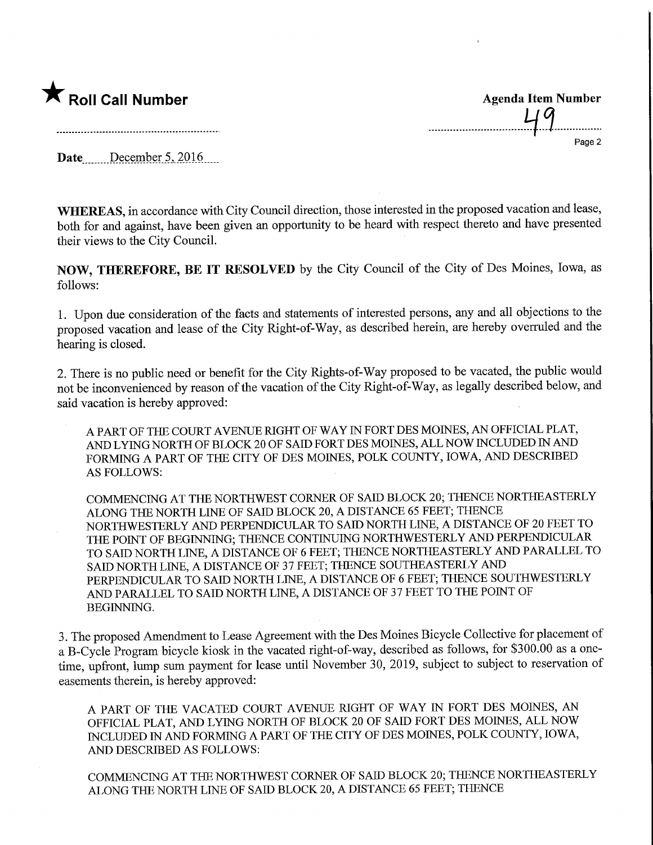

Page 2

Date December  $5,2016$ 

WHEREAS, in accordance with City Council direction, those interested in the proposed vacation and lease, both for and against, have been given an opportunity to be heard with respect thereto and have presented their views to the City Council.

NOW, THEREFORE, BE IT RESOLVED by the City Council of the City of Des Moines, Iowa, as follows:

1. Upon due consideration of the facts and statements of interested persons, any and all objections to the proposed vacation and lease of the City Right-of-Way, as described herein, are hereby overruled and the hearing is closed.

2. There is no public need or benefit for the City Rights-of-Way proposed to be vacated, the public would not be inconvenienced by reason of the vacation of the City Right-of-Way, as legally described below, and said vacation is hereby approved:

A PART OF THE COURT AVENUE RIGHT OF WAY IN FORT DES MOINES, AN OFFICIAL PLAT, AND LYING NORTH OF BLOCK 20 OF SAID FORT DES MOINES, ALL NOW INCLUDED IN AND FORMING A PART OF THE CITY OF DES MOINES, POLK COUNTY, IOWA, AND DESCRIBED AS FOLLOWS:

COMMENCING AT THE NORTHWEST CORNER OF SAID BLOCK 20; THENCE NORTHEASTERLY ALONG THE NORTH LINE OF SAID BLOCK 20, A DISTANCE 65 FEET; THENCE NORTHWESTERLY AND PERPENDICULAR TO SADD NORTH LINE, A DISTANCE OF 20 FEET TO THE POINT OF BEGINNING; THENCE CONTINUING NORTHWESTERLY AND PERPENDICULAR TO SAID NORTH LWE, A DISTANCE OF 6 FEET; THENCE NORTHEASTERLY AND PARALLEL TO SAID NORTH LINE, A DISTANCE OF 37 FEET; THENCE SOUTHEASTERLY AND PERPENDICULAR TO SAID NORTH LINE, A DISTANCE OF 6 FEET; THENCE SOUTHWESTERLY AND PARALLEL TO SAID NORTH LINE, A DISTANCE OF 37 FEET TO THE POINT OF BEGINNING.

3. The proposed Amendment to Lease Agreement with the Des Moines Bicycle Collective for placement of a B-Cycle Program bicycle kiosk in the vacated right-of-way, described as follows, for \$300.00 as a onetime, upfront, lump sum payment for lease until November 30, 2019, subject to subject to reservation of easements therein, is hereby approved:

A PART OF THE VACATED COURT AVENUE RIGHT OF WAY IN FORT DES MOINES, AN OFFICIAL PLAT, AND LYING NORTH OF BLOCK 20 OF SAID FORT DES MOINES, ALL NOW INCLUDED IN AND FORMING A PART OF THE CITY OF DES MOINES, POLK COUNTY, IOWA, AND DESCRIBED AS FOLLOWS:

COMMENCING AT THE NORTHWEST CORNER OF SAID BLOCK 20; THENCE NORTHEASTERLY ALONG THE NORTH LINE OF SAID BLOCK 20, A DISTANCE 65 FEET; THENCE